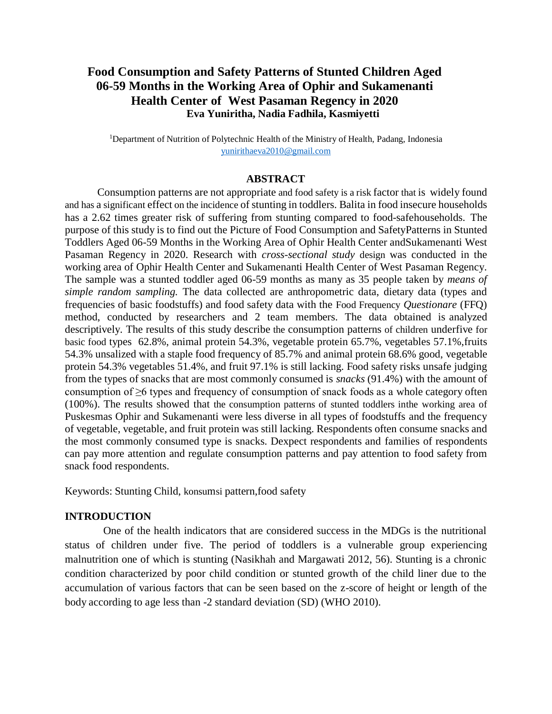# **Food Consumption and Safety Patterns of Stunted Children Aged 06-59 Months in the Working Area of Ophir and Sukamenanti Health Center of West Pasaman Regency in 2020 Eva Yuniritha, Nadia Fadhila, Kasmiyetti**

<sup>1</sup>Department of Nutrition of Polytechnic Health of the Ministry of Health, Padang, Indonesia [yunirithaeva2010@gmail.com](mailto:yunirithaeva2010@gmail.com)

#### **ABSTRACT**

Consumption patterns are not appropriate and food safety is a risk factor that is widely found and has a significant effect on the incidence of stunting in toddlers. Balita in food insecure households has a 2.62 times greater risk of suffering from stunting compared to food-safehouseholds. The purpose of this study is to find out the Picture of Food Consumption and SafetyPatterns in Stunted Toddlers Aged 06-59 Months in the Working Area of Ophir Health Center andSukamenanti West Pasaman Regency in 2020. Research with *cross-sectional study* design was conducted in the working area of Ophir Health Center and Sukamenanti Health Center of West Pasaman Regency. The sample was a stunted toddler aged 06-59 months as many as 35 people taken by *means of simple random sampling.* The data collected are anthropometric data, dietary data (types and frequencies of basic foodstuffs) and food safety data with the Food Frequency *Questionare* (FFQ) method, conducted by researchers and 2 team members. The data obtained is analyzed descriptively. The results of this study describe the consumption patterns of children underfive for basic food types 62.8%, animal protein 54.3%, vegetable protein 65.7%, vegetables 57.1%,fruits 54.3% unsalized with a staple food frequency of 85.7% and animal protein 68.6% good, vegetable protein 54.3% vegetables 51.4%, and fruit 97.1% is still lacking. Food safety risks unsafe judging from the types of snacks that are most commonly consumed is *snacks* (91.4%) with the amount of consumption of ≥6 types and frequency of consumption of snack foods as a whole category often (100%). The results showed that the consumption patterns of stunted toddlers inthe working area of Puskesmas Ophir and Sukamenanti were less diverse in all types of foodstuffs and the frequency of vegetable, vegetable, and fruit protein was still lacking. Respondents often consume snacks and the most commonly consumed type is snacks. Dexpect respondents and families of respondents can pay more attention and regulate consumption patterns and pay attention to food safety from snack food respondents.

Keywords: Stunting Child, konsumsi pattern,food safety

#### **INTRODUCTION**

One of the health indicators that are considered success in the MDGs is the nutritional status of children under five. The period of toddlers is a vulnerable group experiencing malnutrition one of which is stunting (Nasikhah and Margawati 2012, 56). Stunting is a chronic condition characterized by poor child condition or stunted growth of the child liner due to the accumulation of various factors that can be seen based on the z-score of height or length of the body according to age less than -2 standard deviation (SD) (WHO 2010).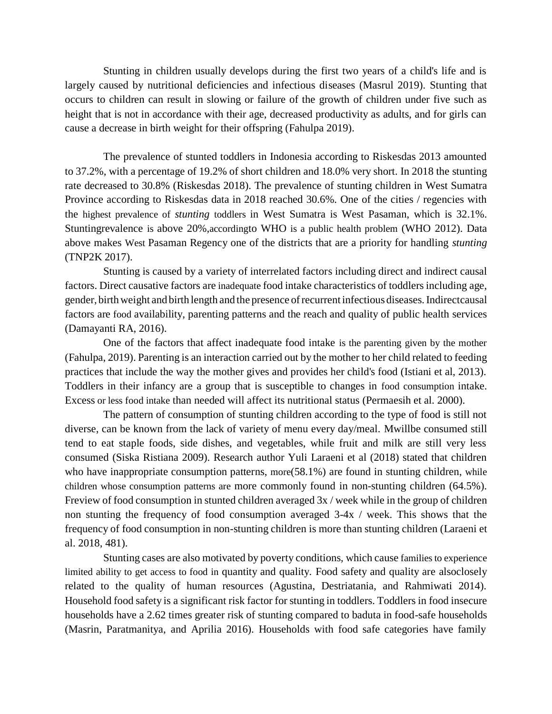Stunting in children usually develops during the first two years of a child's life and is largely caused by nutritional deficiencies and infectious diseases (Masrul 2019). Stunting that occurs to children can result in slowing or failure of the growth of children under five such as height that is not in accordance with their age, decreased productivity as adults, and for girls can cause a decrease in birth weight for their offspring (Fahulpa 2019).

The prevalence of stunted toddlers in Indonesia according to Riskesdas 2013 amounted to 37.2%, with a percentage of 19.2% of short children and 18.0% very short. In 2018 the stunting rate decreased to 30.8% (Riskesdas 2018). The prevalence of stunting children in West Sumatra Province according to Riskesdas data in 2018 reached 30.6%. One of the cities / regencies with the highest prevalence of *stunting* toddlers in West Sumatra is West Pasaman, which is 32.1%. Stuntingrevalence is above 20%,accordingto WHO is a public health problem (WHO 2012). Data above makes West Pasaman Regency one of the districts that are a priority for handling *stunting* (TNP2K 2017).

Stunting is caused by a variety of interrelated factors including direct and indirect causal factors. Direct causative factors are inadequate food intake characteristics of toddlers including age, gender, birth weight and birth length and the presence of recurrent infectious diseases. Indirect causal factors are food availability, parenting patterns and the reach and quality of public health services (Damayanti RA, 2016).

One of the factors that affect inadequate food intake is the parenting given by the mother (Fahulpa, 2019). Parenting is an interaction carried out by the mother to her child related to feeding practices that include the way the mother gives and provides her child's food (Istiani et al, 2013). Toddlers in their infancy are a group that is susceptible to changes in food consumption intake. Excess or less food intake than needed will affect its nutritional status (Permaesih et al. 2000).

The pattern of consumption of stunting children according to the type of food is still not diverse, can be known from the lack of variety of menu every day/meal. Mwillbe consumed still tend to eat staple foods, side dishes, and vegetables, while fruit and milk are still very less consumed (Siska Ristiana 2009). Research author Yuli Laraeni et al (2018) stated that children who have inappropriate consumption patterns, more  $(58.1\%)$  are found in stunting children, while children whose consumption patterns are more commonly found in non-stunting children (64.5%). Freview of food consumption in stunted children averaged 3x / week while in the group of children non stunting the frequency of food consumption averaged 3-4x / week. This shows that the frequency of food consumption in non-stunting children is more than stunting children (Laraeni et al. 2018, 481).

Stunting cases are also motivated by poverty conditions, which cause families to experience limited ability to get access to food in quantity and quality. Food safety and quality are alsoclosely related to the quality of human resources (Agustina, Destriatania, and Rahmiwati 2014). Household food safety is a significant risk factor for stunting in toddlers. Toddlers in food insecure households have a 2.62 times greater risk of stunting compared to baduta in food-safe households (Masrin, Paratmanitya, and Aprilia 2016). Households with food safe categories have family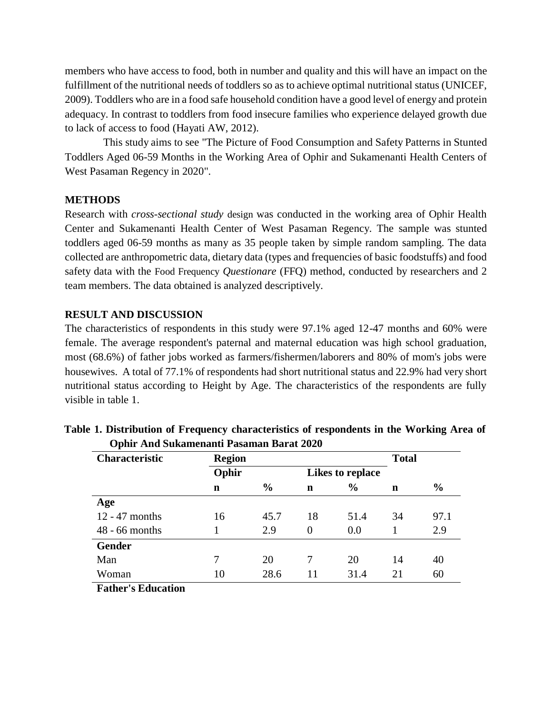members who have access to food, both in number and quality and this will have an impact on the fulfillment of the nutritional needs of toddlers so as to achieve optimal nutritional status (UNICEF, 2009). Toddlers who are in a food safe household condition have a good level of energy and protein adequacy. In contrast to toddlers from food insecure families who experience delayed growth due to lack of access to food (Hayati AW, 2012).

This study aims to see "The Picture of Food Consumption and Safety Patterns in Stunted Toddlers Aged 06-59 Months in the Working Area of Ophir and Sukamenanti Health Centers of West Pasaman Regency in 2020".

### **METHODS**

Research with *cross-sectional study* design was conducted in the working area of Ophir Health Center and Sukamenanti Health Center of West Pasaman Regency. The sample was stunted toddlers aged 06-59 months as many as 35 people taken by simple random sampling. The data collected are anthropometric data, dietary data (types and frequencies of basic foodstuffs) and food safety data with the Food Frequency *Questionare* (FFQ) method, conducted by researchers and 2 team members. The data obtained is analyzed descriptively.

### **RESULT AND DISCUSSION**

The characteristics of respondents in this study were 97.1% aged 12-47 months and 60% were female. The average respondent's paternal and maternal education was high school graduation, most (68.6%) of father jobs worked as farmers/fishermen/laborers and 80% of mom's jobs were housewives. A total of 77.1% of respondents had short nutritional status and 22.9% had very short nutritional status according to Height by Age. The characteristics of the respondents are fully visible in table 1.

| <b>Characteristic</b> | <b>Region</b> |               |          |                  |    |               |  |  |
|-----------------------|---------------|---------------|----------|------------------|----|---------------|--|--|
|                       | Ophir         |               |          | Likes to replace |    |               |  |  |
|                       | n             | $\frac{0}{0}$ | n        | $\frac{6}{6}$    | n  | $\frac{0}{0}$ |  |  |
| Age                   |               |               |          |                  |    |               |  |  |
| $12 - 47$ months      | 16            | 45.7          | 18       | 51.4             | 34 | 97.1          |  |  |
| $48 - 66$ months      |               | 2.9           | $\Omega$ | 0.0              |    | 2.9           |  |  |
| <b>Gender</b>         |               |               |          |                  |    |               |  |  |
| Man                   | 7             | 20            |          | 20               | 14 | 40            |  |  |
| Woman                 | 10            | 28.6          | 11       | 31.4             | 21 | 60            |  |  |
| Eather's Education    |               |               |          |                  |    |               |  |  |

| Table 1. Distribution of Frequency characteristics of respondents in the Working Area of |  |
|------------------------------------------------------------------------------------------|--|
| Ophir And Sukamenanti Pasaman Barat 2020                                                 |  |

**Father's Education**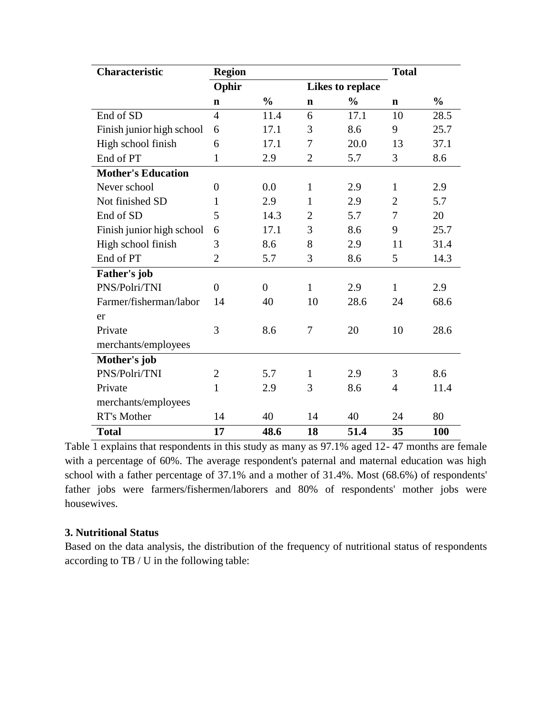| Characteristic            | <b>Region</b>  |                |                |                  | <b>Total</b>   |               |
|---------------------------|----------------|----------------|----------------|------------------|----------------|---------------|
|                           | Ophir          |                |                | Likes to replace |                |               |
|                           | $\mathbf n$    | $\frac{0}{0}$  | $\mathbf n$    | $\frac{0}{0}$    | $\mathbf n$    | $\frac{0}{0}$ |
| End of SD                 | $\overline{4}$ | 11.4           | 6              | 17.1             | 10             | 28.5          |
| Finish junior high school | 6              | 17.1           | 3              | 8.6              | 9              | 25.7          |
| High school finish        | 6              | 17.1           | 7              | 20.0             | 13             | 37.1          |
| End of PT                 | 1              | 2.9            | $\overline{2}$ | 5.7              | 3              | 8.6           |
| <b>Mother's Education</b> |                |                |                |                  |                |               |
| Never school              | $\overline{0}$ | 0.0            | $\mathbf{1}$   | 2.9              | $\mathbf{1}$   | 2.9           |
| Not finished SD           | 1              | 2.9            | $\mathbf{1}$   | 2.9              | $\overline{2}$ | 5.7           |
| End of SD                 | 5              | 14.3           | $\overline{2}$ | 5.7              | 7              | 20            |
| Finish junior high school | 6              | 17.1           | 3              | 8.6              | 9              | 25.7          |
| High school finish        | 3              | 8.6            | 8              | 2.9              | 11             | 31.4          |
| End of PT                 | $\overline{2}$ | 5.7            | 3              | 8.6              | 5              | 14.3          |
| Father's job              |                |                |                |                  |                |               |
| PNS/Polri/TNI             | $\theta$       | $\overline{0}$ | $\mathbf{1}$   | 2.9              | $\mathbf{1}$   | 2.9           |
| Farmer/fisherman/labor    | 14             | 40             | 10             | 28.6             | 24             | 68.6          |
| er                        |                |                |                |                  |                |               |
| Private                   | 3              | 8.6            | 7              | 20               | 10             | 28.6          |
| merchants/employees       |                |                |                |                  |                |               |
| Mother's job              |                |                |                |                  |                |               |
| PNS/Polri/TNI             | $\overline{2}$ | 5.7            | $\mathbf{1}$   | 2.9              | 3              | 8.6           |
| Private                   | $\mathbf{1}$   | 2.9            | 3              | 8.6              | $\overline{4}$ | 11.4          |
| merchants/employees       |                |                |                |                  |                |               |
| RT's Mother               | 14             | 40             | 14             | 40               | 24             | 80            |
| <b>Total</b>              | 17             | 48.6           | 18             | 51.4             | 35             | 100           |

Table 1 explains that respondents in this study as many as 97.1% aged 12- 47 months are female with a percentage of 60%. The average respondent's paternal and maternal education was high school with a father percentage of 37.1% and a mother of 31.4%. Most (68.6%) of respondents' father jobs were farmers/fishermen/laborers and 80% of respondents' mother jobs were housewives.

## **3. Nutritional Status**

Based on the data analysis, the distribution of the frequency of nutritional status of respondents according to TB / U in the following table: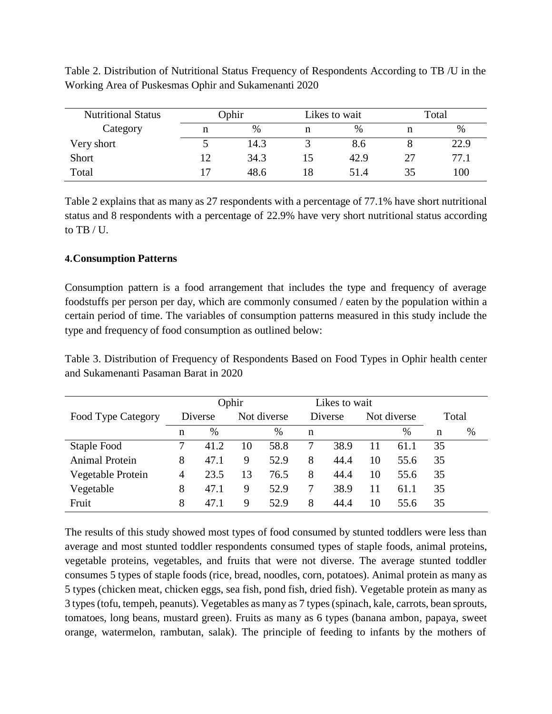| <b>Nutritional Status</b> | Ophir |      |    | Likes to wait | Total |      |  |
|---------------------------|-------|------|----|---------------|-------|------|--|
| Category                  | n     | $\%$ |    | $\%$          |       | $\%$ |  |
| Very short                |       | 14.3 |    | 8.6           |       | 22.9 |  |
| Short                     | 12    | 34.3 |    | 42.9          | 27    | 77.1 |  |
| Total                     | 17    | 48.6 | 18 | 51.4          | 35    | 100  |  |

Table 2. Distribution of Nutritional Status Frequency of Respondents According to TB /U in the Working Area of Puskesmas Ophir and Sukamenanti 2020

Table 2 explains that as many as 27 respondents with a percentage of 77.1% have short nutritional status and 8 respondents with a percentage of 22.9% have very short nutritional status according to  $TR / IL$ 

### **4.Consumption Patterns**

Consumption pattern is a food arrangement that includes the type and frequency of average foodstuffs per person per day, which are commonly consumed / eaten by the population within a certain period of time. The variables of consumption patterns measured in this study include the type and frequency of food consumption as outlined below:

Table 3. Distribution of Frequency of Respondents Based on Food Types in Ophir health center and Sukamenanti Pasaman Barat in 2020

|                       |         | Ophir |             |      |         | Likes to wait |             |      |       |      |
|-----------------------|---------|-------|-------------|------|---------|---------------|-------------|------|-------|------|
| Food Type Category    | Diverse |       | Not diverse |      | Diverse |               | Not diverse |      | Total |      |
|                       | n       | $\%$  |             | $\%$ | n       |               |             | $\%$ | n     | $\%$ |
| Staple Food           |         | 41.2  | 10          | 58.8 |         | 38.9          | 11          | 61.1 | 35    |      |
| <b>Animal Protein</b> | 8       | 47.1  | 9           | 52.9 | 8       | 44.4          | 10          | 55.6 | 35    |      |
| Vegetable Protein     | 4       | 23.5  | 13          | 76.5 | 8       | 44.4          | 10          | 55.6 | 35    |      |
| Vegetable             | 8       | 47.1  | 9           | 52.9 |         | 38.9          | 11          | 61.1 | 35    |      |
| Fruit                 | 8       | 47.1  | 9           | 52.9 | 8       | 44.4          | 10          | 55.6 | 35    |      |

The results of this study showed most types of food consumed by stunted toddlers were less than average and most stunted toddler respondents consumed types of staple foods, animal proteins, vegetable proteins, vegetables, and fruits that were not diverse. The average stunted toddler consumes 5 types of staple foods (rice, bread, noodles, corn, potatoes). Animal protein as many as 5 types (chicken meat, chicken eggs, sea fish, pond fish, dried fish). Vegetable protein as many as 3 types (tofu, tempeh, peanuts). Vegetables as many as 7 types(spinach, kale, carrots, bean sprouts, tomatoes, long beans, mustard green). Fruits as many as 6 types (banana ambon, papaya, sweet orange, watermelon, rambutan, salak). The principle of feeding to infants by the mothers of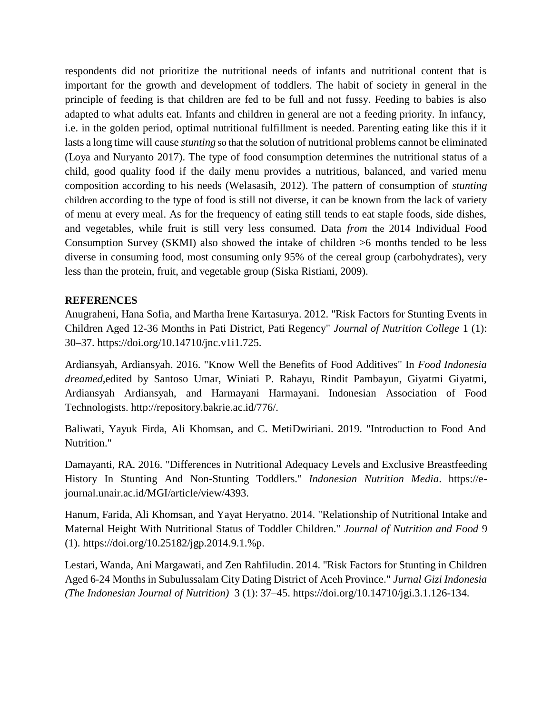respondents did not prioritize the nutritional needs of infants and nutritional content that is important for the growth and development of toddlers. The habit of society in general in the principle of feeding is that children are fed to be full and not fussy. Feeding to babies is also adapted to what adults eat. Infants and children in general are not a feeding priority. In infancy, i.e. in the golden period, optimal nutritional fulfillment is needed. Parenting eating like this if it lasts a long time will cause *stunting* so that the solution of nutritional problems cannot be eliminated (Loya and Nuryanto 2017). The type of food consumption determines the nutritional status of a child, good quality food if the daily menu provides a nutritious, balanced, and varied menu composition according to his needs (Welasasih, 2012). The pattern of consumption of *stunting* children according to the type of food is still not diverse, it can be known from the lack of variety of menu at every meal. As for the frequency of eating still tends to eat staple foods, side dishes, and vegetables, while fruit is still very less consumed. Data *from* the 2014 Individual Food Consumption Survey (SKMI) also showed the intake of children >6 months tended to be less diverse in consuming food, most consuming only 95% of the cereal group (carbohydrates), very less than the protein, fruit, and vegetable group (Siska Ristiani, 2009).

### **REFERENCES**

Anugraheni, Hana Sofia, and Martha Irene Kartasurya. 2012. "Risk Factors for Stunting Events in Children Aged 12-36 Months in Pati District, Pati Regency" *Journal of Nutrition College* 1 (1): 30–37. https://doi.org/10.14710/jnc.v1i1.725.

Ardiansyah, Ardiansyah. 2016. "Know Well the Benefits of Food Additives" In *Food Indonesia dreamed,*edited by Santoso Umar, Winiati P. Rahayu, Rindit Pambayun, Giyatmi Giyatmi, Ardiansyah Ardiansyah, and Harmayani Harmayani. Indonesian Association of Food Technologists. [http://repository.bakrie.ac.id/776/.](http://repository.bakrie.ac.id/776/)

Baliwati, Yayuk Firda, Ali Khomsan, and C. MetiDwiriani. 2019. "Introduction to Food And Nutrition."

Damayanti, RA. 2016. "Differences in Nutritional Adequacy Levels and Exclusive Breastfeeding History In Stunting And Non-Stunting Toddlers." *Indonesian Nutrition Media*. https://ejournal.unair.ac.id/MGI/article/view/4393.

Hanum, Farida, Ali Khomsan, and Yayat Heryatno. 2014. "Relationship of Nutritional Intake and Maternal Height With Nutritional Status of Toddler Children." *Journal of Nutrition and Food* 9 (1). https://doi.org/10.25182/jgp.2014.9.1.%p.

Lestari, Wanda, Ani Margawati, and Zen Rahfiludin. 2014. "Risk Factors for Stunting in Children Aged 6-24 Months in Subulussalam City Dating District of Aceh Province." *Jurnal Gizi Indonesia (The Indonesian Journal of Nutrition)* 3 (1): 37–45. https://doi.org/10.14710/jgi.3.1.126-134.